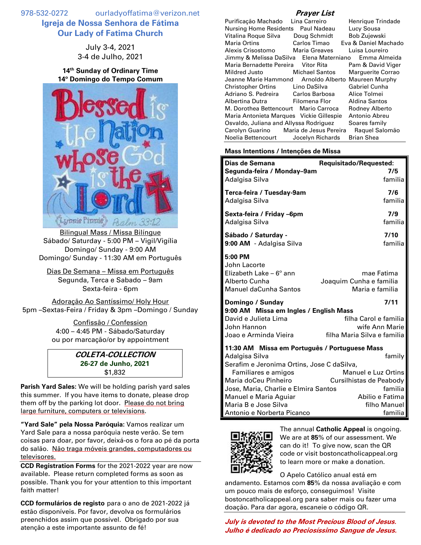978-532-0272 ourladyoffatima@verizon.net **Igreja de Nossa Senhora de Fátima Our Lady of Fatima Church**

> July 3-4, 2021 3-4 de Julho, 2021

**14 th Sunday of Ordinary Time 14º Domingo do Tempo Comum**



Bilingual Mass / Missa Bilíngue Sábado/ Saturday - 5:00 PM – Vigil/Vigília Domingo/ Sunday - 9:00 AM Domingo/ Sunday - 11:30 AM em Português

Dias De Semana – Missa em Português Segunda, Terca e Sabado – 9am Sexta-feira - 6pm

Adoração Ao Santíssimo/ Holy Hour 5pm –Sextas-Feira / Friday & 3pm –Domingo / Sunday

> Confissão / Confession 4:00 – 4:45 PM - Sábado/Saturday ou por marcação/or by appointment

> > **COLETA-COLLECTION 26-27 de Junho, 2021** \$1,832

**Parish Yard Sales:** We will be holding parish yard sales this summer. If you have items to donate, please drop them off by the parking lot door. Please do not bring large furniture, computers or televisions.

**"Yard Sale" pela Nossa Paróquia:** Vamos realizar um Yard Sale para a nossa paróquia neste verão. Se tem coisas para doar, por favor, deixá-os o fora ao pé da porta do salão. Não traga móveis grandes, computadores ou televisores.

**CCD Registration Forms** for the 2021-2022 year are now available**.** Please return completed forms as soon as possible. Thank you for your attention to this important faith matter!

**CCD formulários de registo** para o ano de 2021-2022 já estão disponíveis. Por favor, devolva os formulários preenchidos assim que possível. Obrigado por sua atenção a este importante assunto de fé!

## **Prayer List**

| Purificação Machado Lina Carreiro                   |                       | Henrique Trindade    |
|-----------------------------------------------------|-----------------------|----------------------|
| Nursing Home Residents Paul Nadeau                  |                       | Lucy Sousa           |
| Vitalina Roque Silva                                | Doug Schmidt          | Bob Zujewski         |
| Maria Ortins                                        | Carlos Timao          | Eva & Daniel Machado |
| Alexis Crisostomo                                   | Maria Greaves         | Luisa Loureiro       |
| Jimmy & Melissa DaSilva Elena Materniano            |                       | Emma Almeida         |
| Maria Bernadette Pereira Vitor Rita                 |                       | Pam & David Viger    |
| Mildred Justo                                       | <b>Michael Santos</b> | Marguerite Corrao    |
| Jeanne Marie Hammond Arnoldo Alberto Maureen Murphy |                       |                      |
| Christopher Ortins                                  | Lino DaSilva          | <b>Gabriel Cunha</b> |
| Adriano S. Pedreira Carlos Barbosa                  |                       | Alice Tolmei         |
| Albertina Dutra                                     | Filomena Flor         | Aldina Santos        |
| M. Dorothea Bettencourt Mario Carroca               |                       | Rodney Alberto       |
| Maria Antonieta Marques Vickie Gillespie            |                       | Antonio Abreu        |
| Osvaldo, Juliana and Allyssa Rodriguez              |                       | Soares family        |
| Carolyn Guarino Maria de Jesus Pereira              |                       | Raguel Salomão       |
| Noelia Bettencourt                                  | Jocelyn Richards      | <b>Brian Shea</b>    |

## **Mass Intentions / Intenções de Missa**

| Dias de Semana<br>Requisitado/Requested:                                                                                |                                                          |  |
|-------------------------------------------------------------------------------------------------------------------------|----------------------------------------------------------|--|
| Segunda-feira / Monday-9am                                                                                              | 7/5                                                      |  |
| Adalgisa Silva                                                                                                          | familia                                                  |  |
| Terca-feira / Tuesday-9am                                                                                               | 7/6                                                      |  |
| Adalgisa Silva                                                                                                          | familia                                                  |  |
| Sexta-feira / Friday -6pm                                                                                               | 7/9                                                      |  |
| Adalgisa Silva                                                                                                          | familia                                                  |  |
| Sábado / Saturday -                                                                                                     | 7/10                                                     |  |
| 9:00 AM - Adalgisa Silva                                                                                                | familia                                                  |  |
| 5:00 PM<br>John Lacorte<br>Elizabeth Lake – $6^{\circ}$ ann<br>Alberto Cunha<br>Manuel daCunha Santos                   | mae Fatima<br>Joaquim Cunha e familia<br>Maria e familia |  |
| Domingo / Sunday<br>9:00 AM Missa em Ingles / English Mass                                                              | 7/11                                                     |  |
| David e Julieta Lima                                                                                                    | filha Carol e familia                                    |  |
| John Hannon                                                                                                             | wife Ann Marie                                           |  |
| Joao e Arminda Vieira                                                                                                   | filha Maria Silva e familia                              |  |
| 11:30 AM Missa em Português / Portuguese Mass<br>Adalgisa Silva<br>family<br>Serafim e Jeronima Ortins, Jose C daSilva, |                                                          |  |
| Familiares e amigos                                                                                                     | Manuel e Luz Ortins                                      |  |
| Maria doCeu Pinheiro                                                                                                    | Cursilhistas de Peabody                                  |  |
| Jose, Maria, Charlie e Elmira Santos                                                                                    | familia                                                  |  |
| Manuel e Maria Aguiar                                                                                                   | Abilio e Fatima                                          |  |
| Maria B e Jose Silva                                                                                                    | filho Manuel                                             |  |
| Antonio e Norberta Picanco                                                                                              | familia                                                  |  |



The annual **Catholic Appeal** is ongoing. We are at **85**% of our assessment. We can do it! To give now, scan the QR code or visit bostoncatholicappeal.org to learn more or make a donation.

O Apelo Católico anual está em andamento. Estamos com **85**% da nossa avaliação e com um pouco mais de esforço, conseguimos! Visite bostoncatholicappeal.org para saber mais ou fazer uma doação. Para dar agora, escaneie o código QR.

**July is devoted to the Most Precious Blood of Jesus. Julho é dedicado ao Preciosíssimo Sangue de Jesus.**